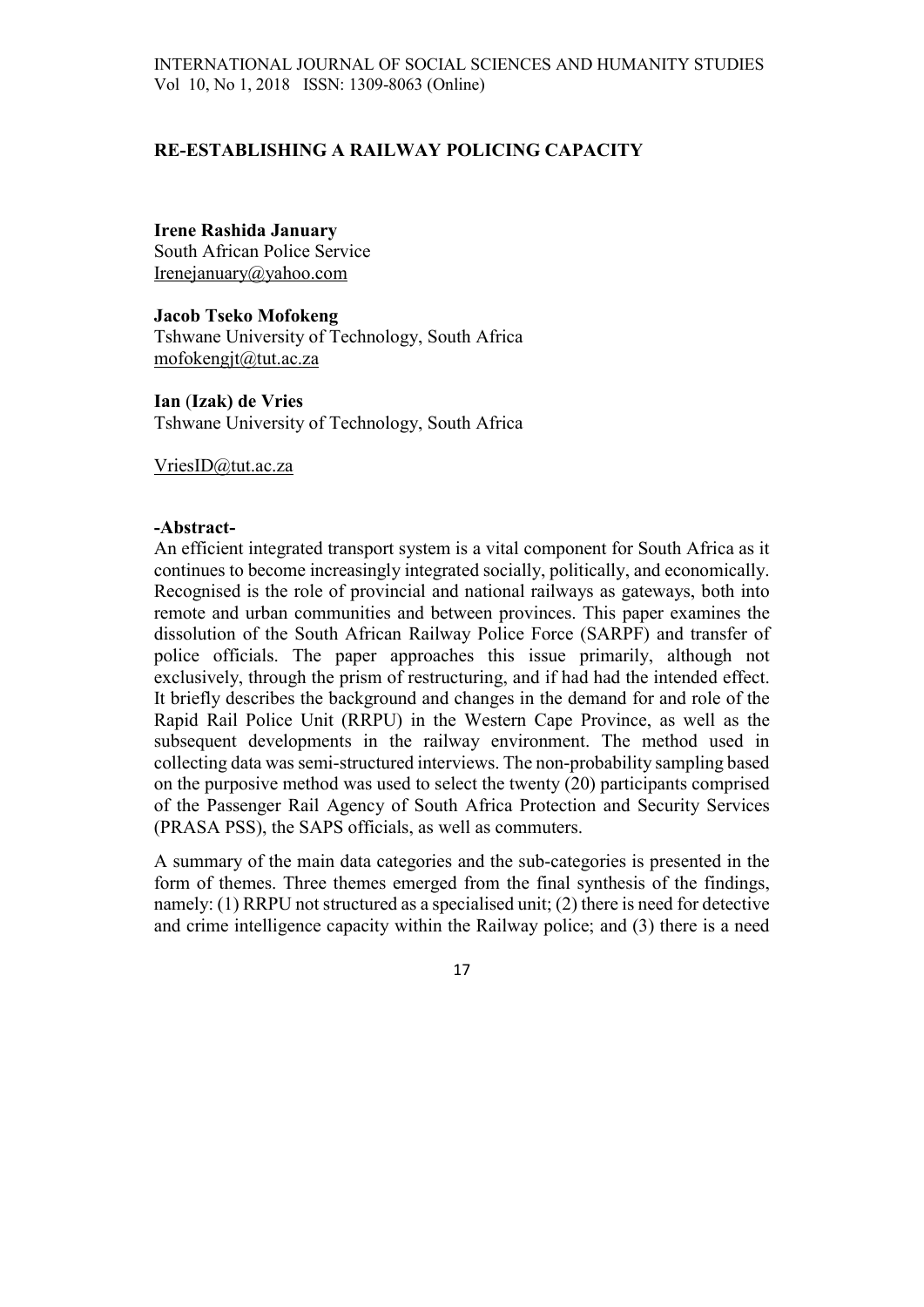# RE-ESTABLISHING A RAILWAY POLICING CAPACITY

## Irene Rashida January

South African Police Service Irenejanuary@yahoo.com

Jacob Tseko Mofokeng Tshwane University of Technology, South Africa mofokengjt@tut.ac.za

Ian (Izak) de Vries Tshwane University of Technology, South Africa

VriesID@tut.ac.za

#### -Abstract-

An efficient integrated transport system is a vital component for South Africa as it continues to become increasingly integrated socially, politically, and economically. Recognised is the role of provincial and national railways as gateways, both into remote and urban communities and between provinces. This paper examines the dissolution of the South African Railway Police Force (SARPF) and transfer of police officials. The paper approaches this issue primarily, although not exclusively, through the prism of restructuring, and if had had the intended effect. It briefly describes the background and changes in the demand for and role of the Rapid Rail Police Unit (RRPU) in the Western Cape Province, as well as the subsequent developments in the railway environment. The method used in collecting data was semi-structured interviews. The non-probability sampling based on the purposive method was used to select the twenty (20) participants comprised of the Passenger Rail Agency of South Africa Protection and Security Services (PRASA PSS), the SAPS officials, as well as commuters.

A summary of the main data categories and the sub-categories is presented in the form of themes. Three themes emerged from the final synthesis of the findings, namely: (1) RRPU not structured as a specialised unit; (2) there is need for detective and crime intelligence capacity within the Railway police; and (3) there is a need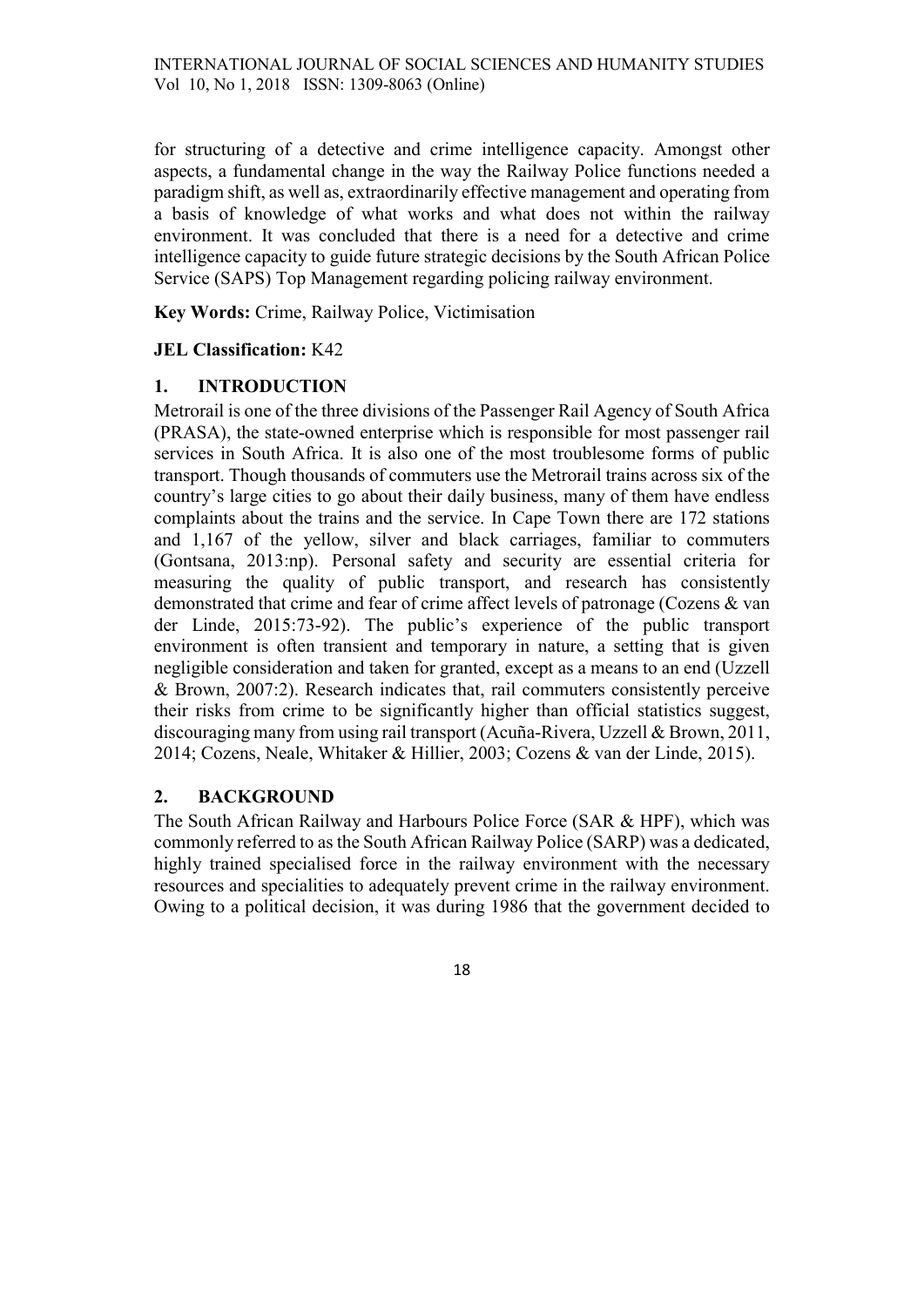for structuring of a detective and crime intelligence capacity. Amongst other aspects, a fundamental change in the way the Railway Police functions needed a paradigm shift, as well as, extraordinarily effective management and operating from a basis of knowledge of what works and what does not within the railway environment. It was concluded that there is a need for a detective and crime intelligence capacity to guide future strategic decisions by the South African Police Service (SAPS) Top Management regarding policing railway environment.

Key Words: Crime, Railway Police, Victimisation

# JEL Classification: K42

# 1. INTRODUCTION

Metrorail is one of the three divisions of the Passenger Rail Agency of South Africa (PRASA), the state-owned enterprise which is responsible for most passenger rail services in South Africa. It is also one of the most troublesome forms of public transport. Though thousands of commuters use the Metrorail trains across six of the country's large cities to go about their daily business, many of them have endless complaints about the trains and the service. In Cape Town there are 172 stations and 1,167 of the yellow, silver and black carriages, familiar to commuters (Gontsana, 2013:np). Personal safety and security are essential criteria for measuring the quality of public transport, and research has consistently demonstrated that crime and fear of crime affect levels of patronage (Cozens & van der Linde, 2015:73-92). The public's experience of the public transport environment is often transient and temporary in nature, a setting that is given negligible consideration and taken for granted, except as a means to an end (Uzzell & Brown, 2007:2). Research indicates that, rail commuters consistently perceive their risks from crime to be significantly higher than official statistics suggest, discouraging many from using rail transport (Acuña-Rivera, Uzzell & Brown, 2011, 2014; Cozens, Neale, Whitaker & Hillier, 2003; Cozens & van der Linde, 2015).

# 2. BACKGROUND

The South African Railway and Harbours Police Force (SAR & HPF), which was commonly referred to as the South African Railway Police (SARP) was a dedicated, highly trained specialised force in the railway environment with the necessary resources and specialities to adequately prevent crime in the railway environment. Owing to a political decision, it was during 1986 that the government decided to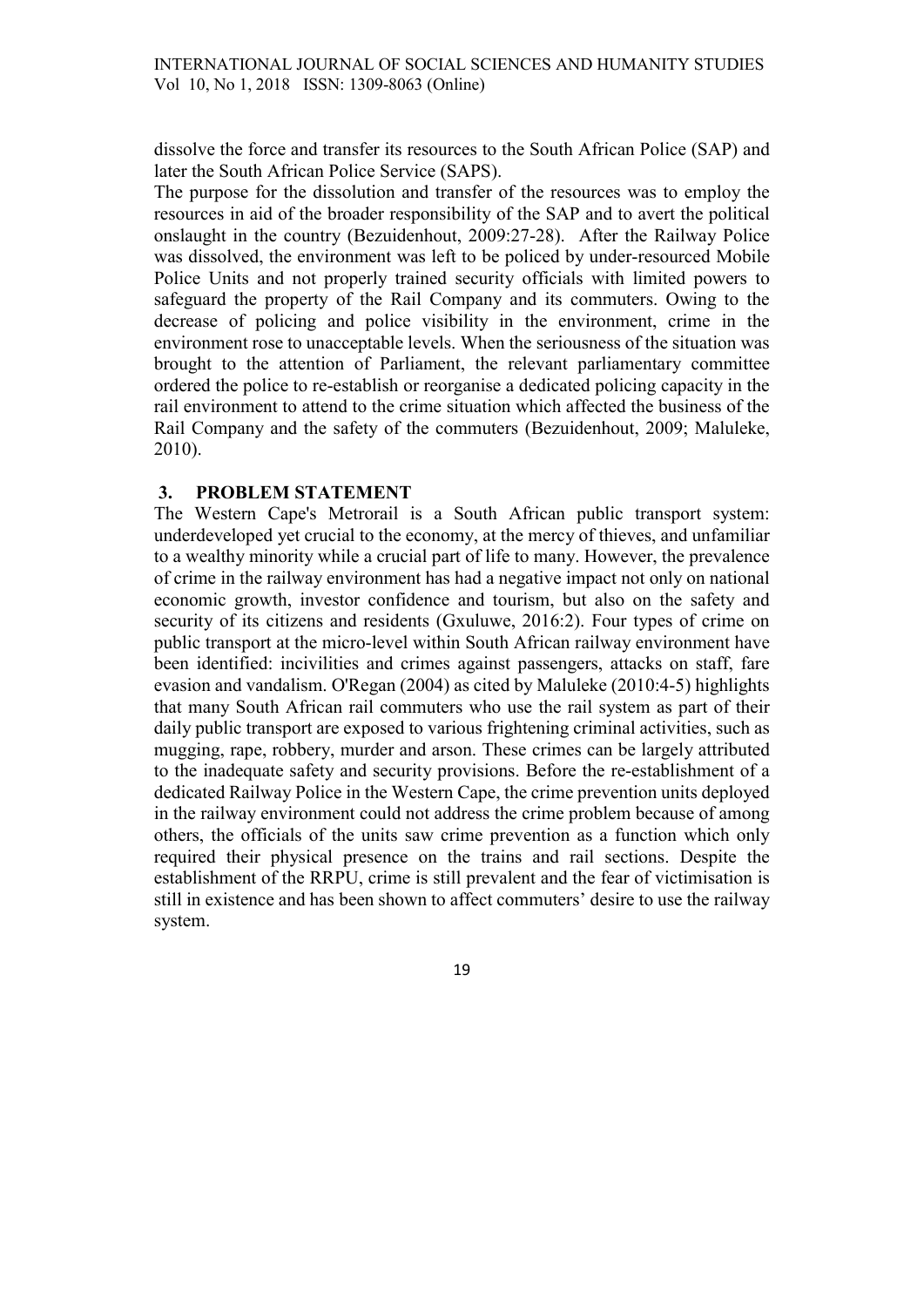dissolve the force and transfer its resources to the South African Police (SAP) and later the South African Police Service (SAPS).

The purpose for the dissolution and transfer of the resources was to employ the resources in aid of the broader responsibility of the SAP and to avert the political onslaught in the country (Bezuidenhout, 2009:27-28). After the Railway Police was dissolved, the environment was left to be policed by under-resourced Mobile Police Units and not properly trained security officials with limited powers to safeguard the property of the Rail Company and its commuters. Owing to the decrease of policing and police visibility in the environment, crime in the environment rose to unacceptable levels. When the seriousness of the situation was brought to the attention of Parliament, the relevant parliamentary committee ordered the police to re-establish or reorganise a dedicated policing capacity in the rail environment to attend to the crime situation which affected the business of the Rail Company and the safety of the commuters (Bezuidenhout, 2009; Maluleke, 2010).

### 3. PROBLEM STATEMENT

The Western Cape's Metrorail is a South African public transport system: underdeveloped yet crucial to the economy, at the mercy of thieves, and unfamiliar to a wealthy minority while a crucial part of life to many. However, the prevalence of crime in the railway environment has had a negative impact not only on national economic growth, investor confidence and tourism, but also on the safety and security of its citizens and residents (Gxuluwe, 2016:2). Four types of crime on public transport at the micro-level within South African railway environment have been identified: incivilities and crimes against passengers, attacks on staff, fare evasion and vandalism. O'Regan (2004) as cited by Maluleke (2010:4-5) highlights that many South African rail commuters who use the rail system as part of their daily public transport are exposed to various frightening criminal activities, such as mugging, rape, robbery, murder and arson. These crimes can be largely attributed to the inadequate safety and security provisions. Before the re-establishment of a dedicated Railway Police in the Western Cape, the crime prevention units deployed in the railway environment could not address the crime problem because of among others, the officials of the units saw crime prevention as a function which only required their physical presence on the trains and rail sections. Despite the establishment of the RRPU, crime is still prevalent and the fear of victimisation is still in existence and has been shown to affect commuters' desire to use the railway system.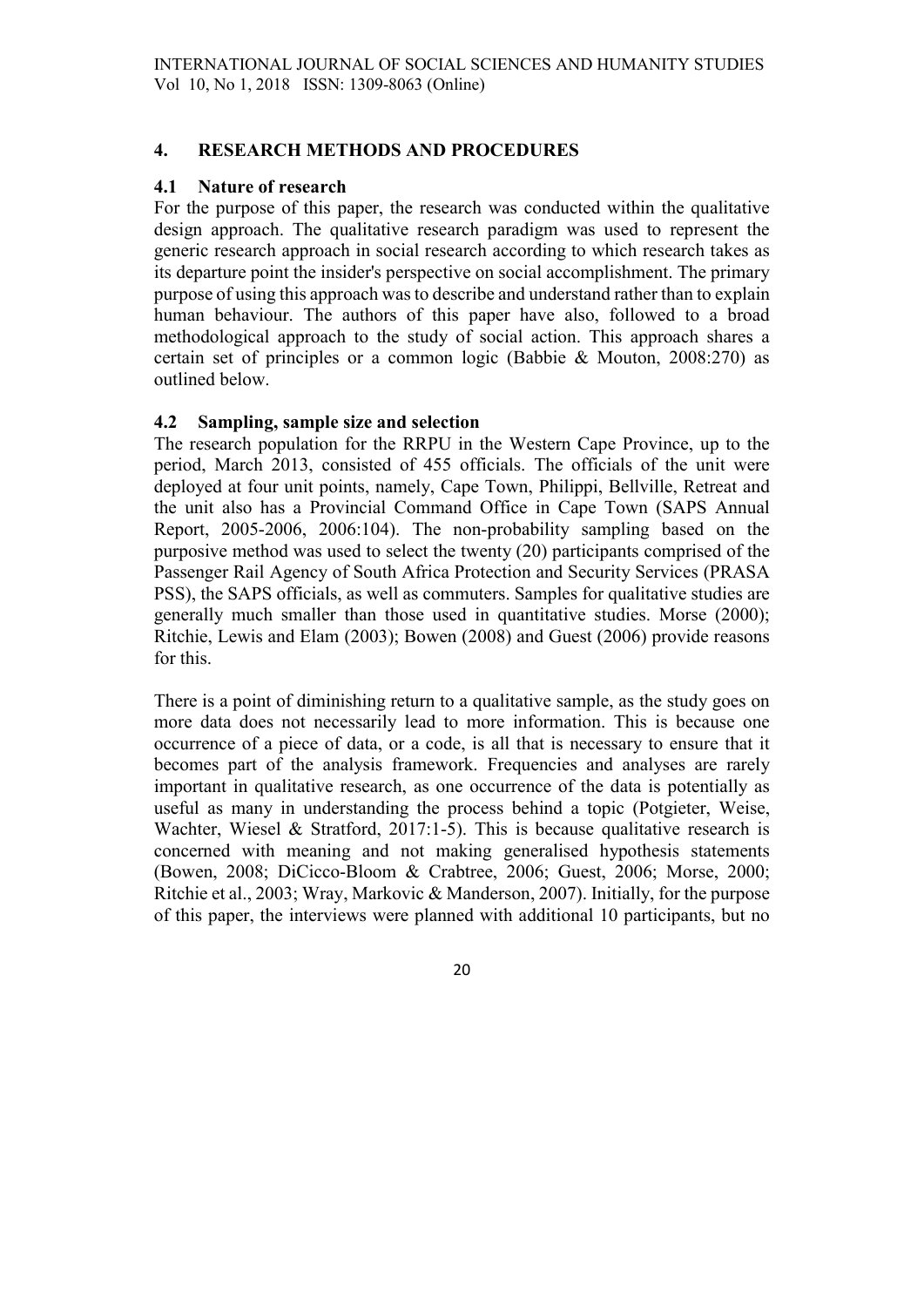# 4. RESEARCH METHODS AND PROCEDURES

### 4.1 Nature of research

For the purpose of this paper, the research was conducted within the qualitative design approach. The qualitative research paradigm was used to represent the generic research approach in social research according to which research takes as its departure point the insider's perspective on social accomplishment. The primary purpose of using this approach was to describe and understand rather than to explain human behaviour. The authors of this paper have also, followed to a broad methodological approach to the study of social action. This approach shares a certain set of principles or a common logic (Babbie & Mouton, 2008:270) as outlined below.

## 4.2 Sampling, sample size and selection

The research population for the RRPU in the Western Cape Province, up to the period, March 2013, consisted of 455 officials. The officials of the unit were deployed at four unit points, namely, Cape Town, Philippi, Bellville, Retreat and the unit also has a Provincial Command Office in Cape Town (SAPS Annual Report, 2005-2006, 2006:104). The non-probability sampling based on the purposive method was used to select the twenty (20) participants comprised of the Passenger Rail Agency of South Africa Protection and Security Services (PRASA PSS), the SAPS officials, as well as commuters. Samples for qualitative studies are generally much smaller than those used in quantitative studies. Morse (2000); Ritchie, Lewis and Elam (2003); Bowen (2008) and Guest (2006) provide reasons for this.

There is a point of diminishing return to a qualitative sample, as the study goes on more data does not necessarily lead to more information. This is because one occurrence of a piece of data, or a code, is all that is necessary to ensure that it becomes part of the analysis framework. Frequencies and analyses are rarely important in qualitative research, as one occurrence of the data is potentially as useful as many in understanding the process behind a topic (Potgieter, Weise, Wachter, Wiesel & Stratford, 2017:1-5). This is because qualitative research is concerned with meaning and not making generalised hypothesis statements (Bowen, 2008; DiCicco-Bloom & Crabtree, 2006; Guest, 2006; Morse, 2000; Ritchie et al., 2003; Wray, Markovic & Manderson, 2007). Initially, for the purpose of this paper, the interviews were planned with additional 10 participants, but no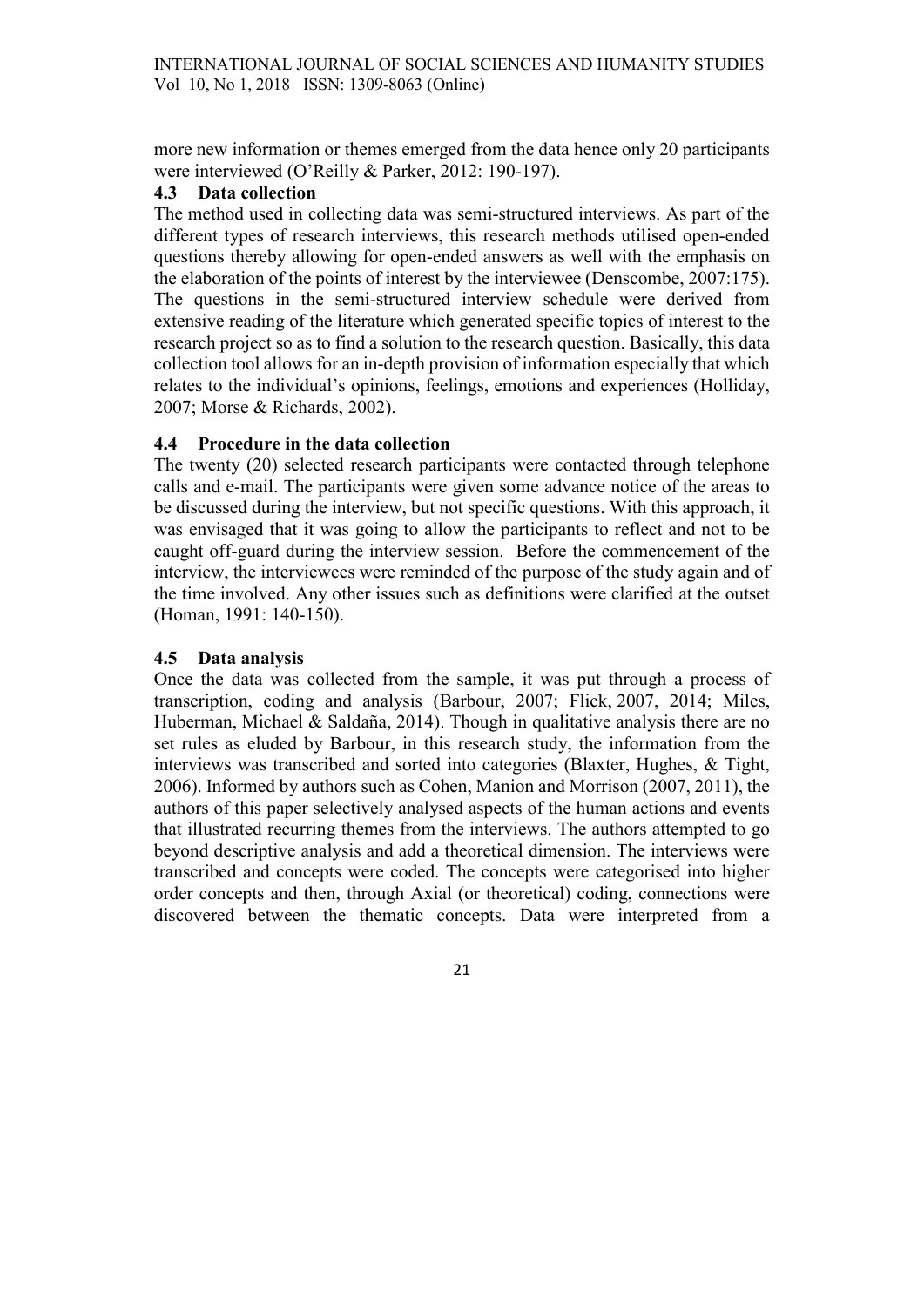more new information or themes emerged from the data hence only 20 participants were interviewed (O'Reilly & Parker, 2012: 190-197).

### 4.3 Data collection

The method used in collecting data was semi-structured interviews. As part of the different types of research interviews, this research methods utilised open-ended questions thereby allowing for open-ended answers as well with the emphasis on the elaboration of the points of interest by the interviewee (Denscombe, 2007:175). The questions in the semi-structured interview schedule were derived from extensive reading of the literature which generated specific topics of interest to the research project so as to find a solution to the research question. Basically, this data collection tool allows for an in-depth provision of information especially that which relates to the individual's opinions, feelings, emotions and experiences (Holliday, 2007; Morse & Richards, 2002).

## 4.4 Procedure in the data collection

The twenty (20) selected research participants were contacted through telephone calls and e-mail. The participants were given some advance notice of the areas to be discussed during the interview, but not specific questions. With this approach, it was envisaged that it was going to allow the participants to reflect and not to be caught off-guard during the interview session. Before the commencement of the interview, the interviewees were reminded of the purpose of the study again and of the time involved. Any other issues such as definitions were clarified at the outset (Homan, 1991: 140-150).

## 4.5 Data analysis

Once the data was collected from the sample, it was put through a process of transcription, coding and analysis (Barbour, 2007; Flick, 2007, 2014; Miles, Huberman, Michael & Saldaña, 2014). Though in qualitative analysis there are no set rules as eluded by Barbour, in this research study, the information from the interviews was transcribed and sorted into categories (Blaxter, Hughes, & Tight, 2006). Informed by authors such as Cohen, Manion and Morrison (2007, 2011), the authors of this paper selectively analysed aspects of the human actions and events that illustrated recurring themes from the interviews. The authors attempted to go beyond descriptive analysis and add a theoretical dimension. The interviews were transcribed and concepts were coded. The concepts were categorised into higher order concepts and then, through Axial (or theoretical) coding, connections were discovered between the thematic concepts. Data were interpreted from a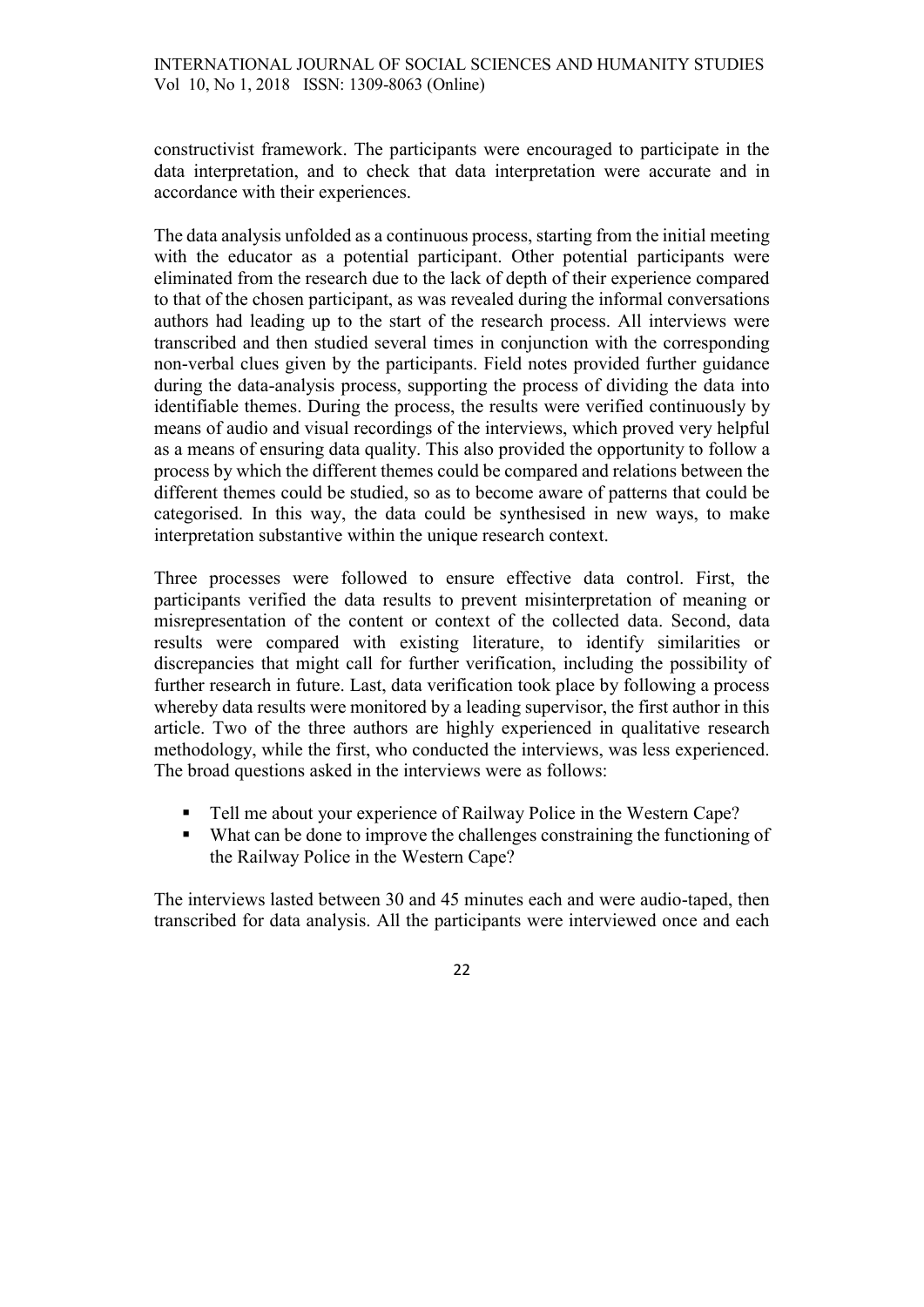constructivist framework. The participants were encouraged to participate in the data interpretation, and to check that data interpretation were accurate and in accordance with their experiences.

The data analysis unfolded as a continuous process, starting from the initial meeting with the educator as a potential participant. Other potential participants were eliminated from the research due to the lack of depth of their experience compared to that of the chosen participant, as was revealed during the informal conversations authors had leading up to the start of the research process. All interviews were transcribed and then studied several times in conjunction with the corresponding non-verbal clues given by the participants. Field notes provided further guidance during the data-analysis process, supporting the process of dividing the data into identifiable themes. During the process, the results were verified continuously by means of audio and visual recordings of the interviews, which proved very helpful as a means of ensuring data quality. This also provided the opportunity to follow a process by which the different themes could be compared and relations between the different themes could be studied, so as to become aware of patterns that could be categorised. In this way, the data could be synthesised in new ways, to make interpretation substantive within the unique research context.

Three processes were followed to ensure effective data control. First, the participants verified the data results to prevent misinterpretation of meaning or misrepresentation of the content or context of the collected data. Second, data results were compared with existing literature, to identify similarities or discrepancies that might call for further verification, including the possibility of further research in future. Last, data verification took place by following a process whereby data results were monitored by a leading supervisor, the first author in this article. Two of the three authors are highly experienced in qualitative research methodology, while the first, who conducted the interviews, was less experienced. The broad questions asked in the interviews were as follows:

- Tell me about your experience of Railway Police in the Western Cape?
- What can be done to improve the challenges constraining the functioning of the Railway Police in the Western Cape?

The interviews lasted between 30 and 45 minutes each and were audio-taped, then transcribed for data analysis. All the participants were interviewed once and each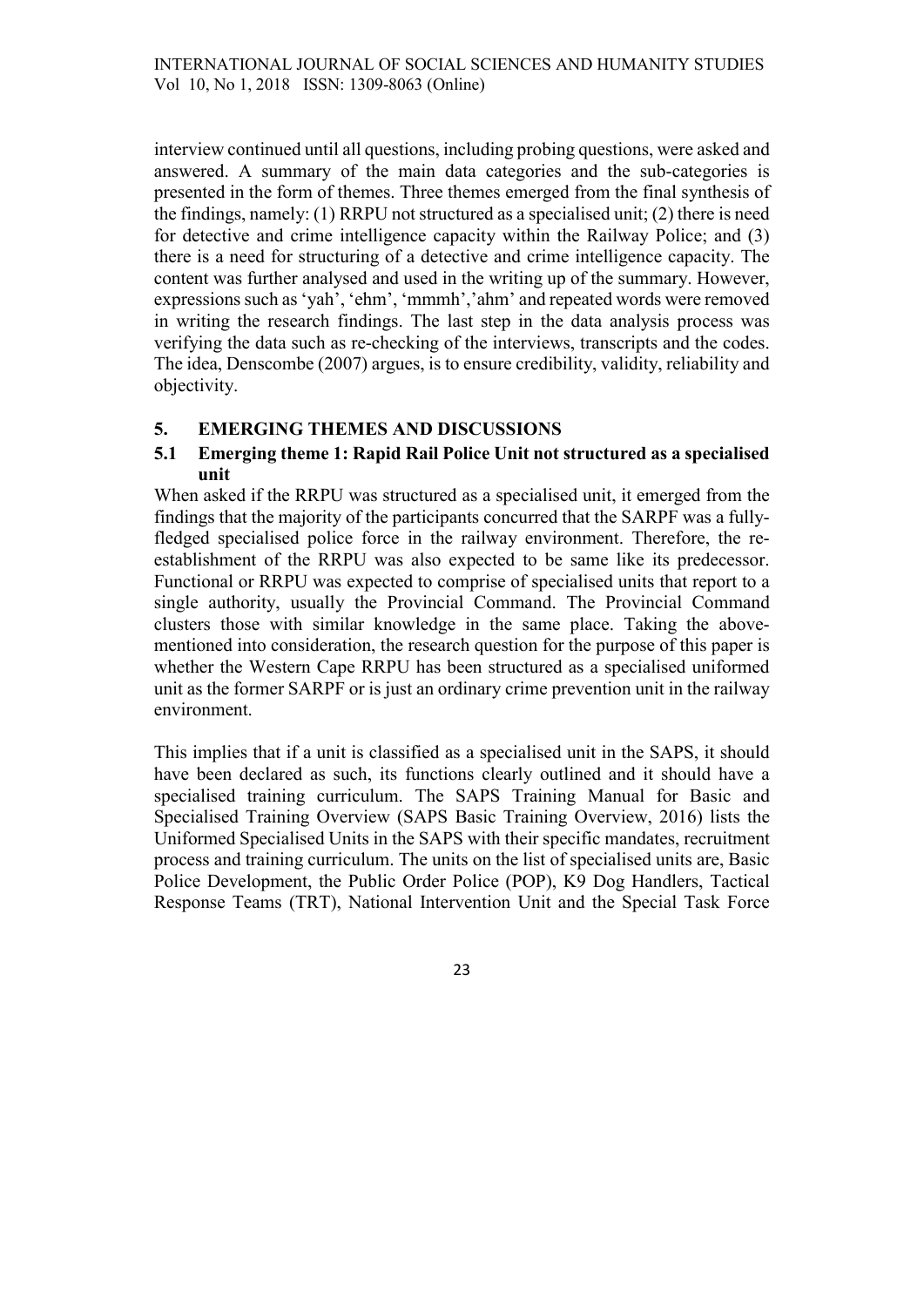interview continued until all questions, including probing questions, were asked and answered. A summary of the main data categories and the sub-categories is presented in the form of themes. Three themes emerged from the final synthesis of the findings, namely: (1) RRPU not structured as a specialised unit; (2) there is need for detective and crime intelligence capacity within the Railway Police; and (3) there is a need for structuring of a detective and crime intelligence capacity. The content was further analysed and used in the writing up of the summary. However, expressions such as 'yah', 'ehm', 'mmmh','ahm' and repeated words were removed in writing the research findings. The last step in the data analysis process was verifying the data such as re-checking of the interviews, transcripts and the codes. The idea, Denscombe (2007) argues, is to ensure credibility, validity, reliability and objectivity.

# 5. EMERGING THEMES AND DISCUSSIONS

## 5.1 Emerging theme 1: Rapid Rail Police Unit not structured as a specialised unit

When asked if the RRPU was structured as a specialised unit, it emerged from the findings that the majority of the participants concurred that the SARPF was a fullyfledged specialised police force in the railway environment. Therefore, the reestablishment of the RRPU was also expected to be same like its predecessor. Functional or RRPU was expected to comprise of specialised units that report to a single authority, usually the Provincial Command. The Provincial Command clusters those with similar knowledge in the same place. Taking the abovementioned into consideration, the research question for the purpose of this paper is whether the Western Cape RRPU has been structured as a specialised uniformed unit as the former SARPF or is just an ordinary crime prevention unit in the railway environment.

This implies that if a unit is classified as a specialised unit in the SAPS, it should have been declared as such, its functions clearly outlined and it should have a specialised training curriculum. The SAPS Training Manual for Basic and Specialised Training Overview (SAPS Basic Training Overview, 2016) lists the Uniformed Specialised Units in the SAPS with their specific mandates, recruitment process and training curriculum. The units on the list of specialised units are, Basic Police Development, the Public Order Police (POP), K9 Dog Handlers, Tactical Response Teams (TRT), National Intervention Unit and the Special Task Force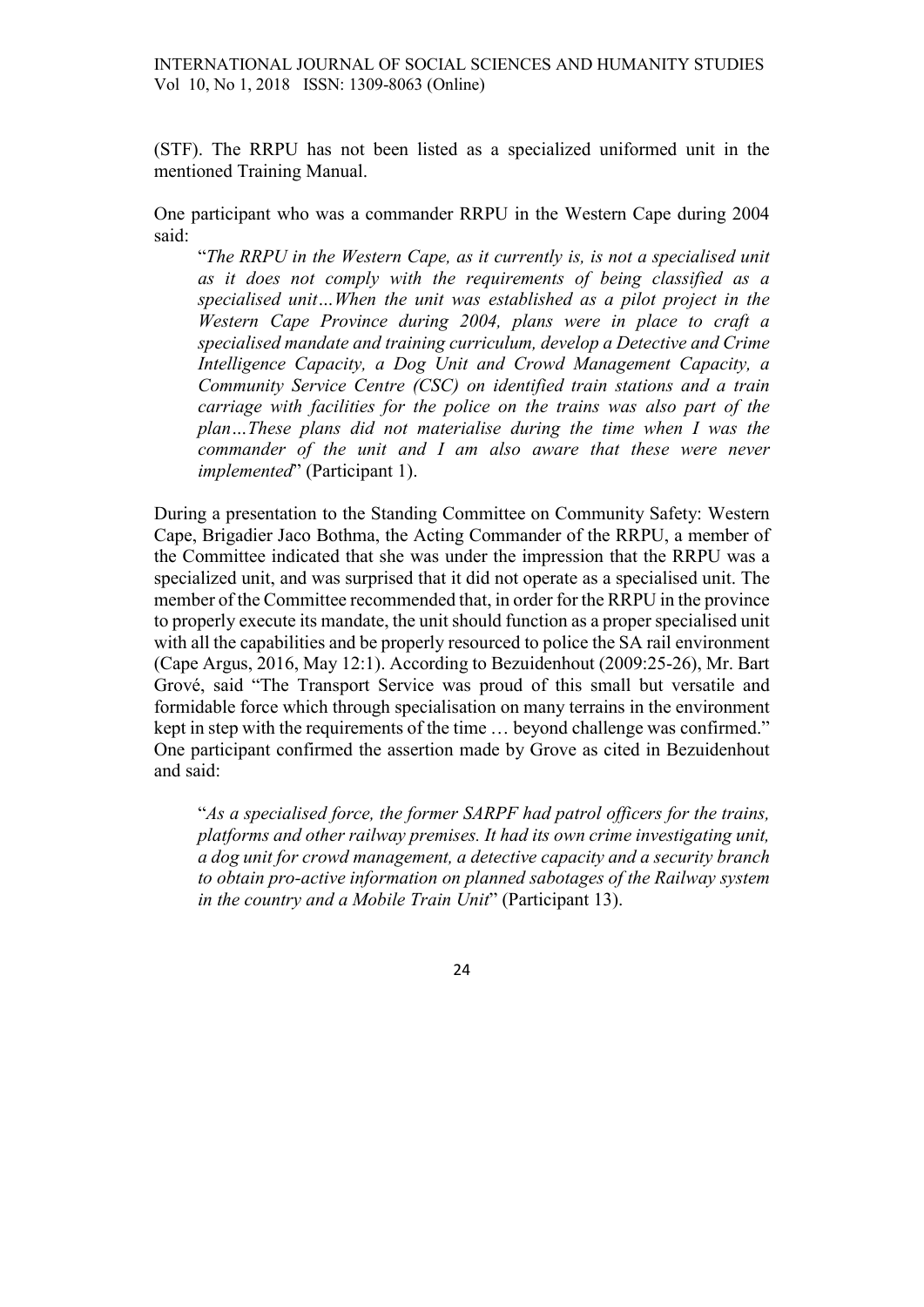INTERNATIONAL JOURNAL OF SOCIAL SCIENCES AND HUMANITY STUDIES Vol 10, No 1, 2018 ISSN: 1309-8063 (Online)

(STF). The RRPU has not been listed as a specialized uniformed unit in the mentioned Training Manual.

One participant who was a commander RRPU in the Western Cape during 2004 said:

"The RRPU in the Western Cape, as it currently is, is not a specialised unit as it does not comply with the requirements of being classified as a specialised unit…When the unit was established as a pilot project in the Western Cape Province during 2004, plans were in place to craft a specialised mandate and training curriculum, develop a Detective and Crime Intelligence Capacity, a Dog Unit and Crowd Management Capacity, a Community Service Centre (CSC) on identified train stations and a train carriage with facilities for the police on the trains was also part of the plan…These plans did not materialise during the time when I was the commander of the unit and I am also aware that these were never implemented" (Participant 1).

During a presentation to the Standing Committee on Community Safety: Western Cape, Brigadier Jaco Bothma, the Acting Commander of the RRPU, a member of the Committee indicated that she was under the impression that the RRPU was a specialized unit, and was surprised that it did not operate as a specialised unit. The member of the Committee recommended that, in order for the RRPU in the province to properly execute its mandate, the unit should function as a proper specialised unit with all the capabilities and be properly resourced to police the SA rail environment (Cape Argus, 2016, May 12:1). According to Bezuidenhout (2009:25-26), Mr. Bart Grové, said "The Transport Service was proud of this small but versatile and formidable force which through specialisation on many terrains in the environment kept in step with the requirements of the time … beyond challenge was confirmed." One participant confirmed the assertion made by Grove as cited in Bezuidenhout and said:

"As a specialised force, the former SARPF had patrol officers for the trains, platforms and other railway premises. It had its own crime investigating unit, a dog unit for crowd management, a detective capacity and a security branch to obtain pro-active information on planned sabotages of the Railway system in the country and a Mobile Train Unit" (Participant 13).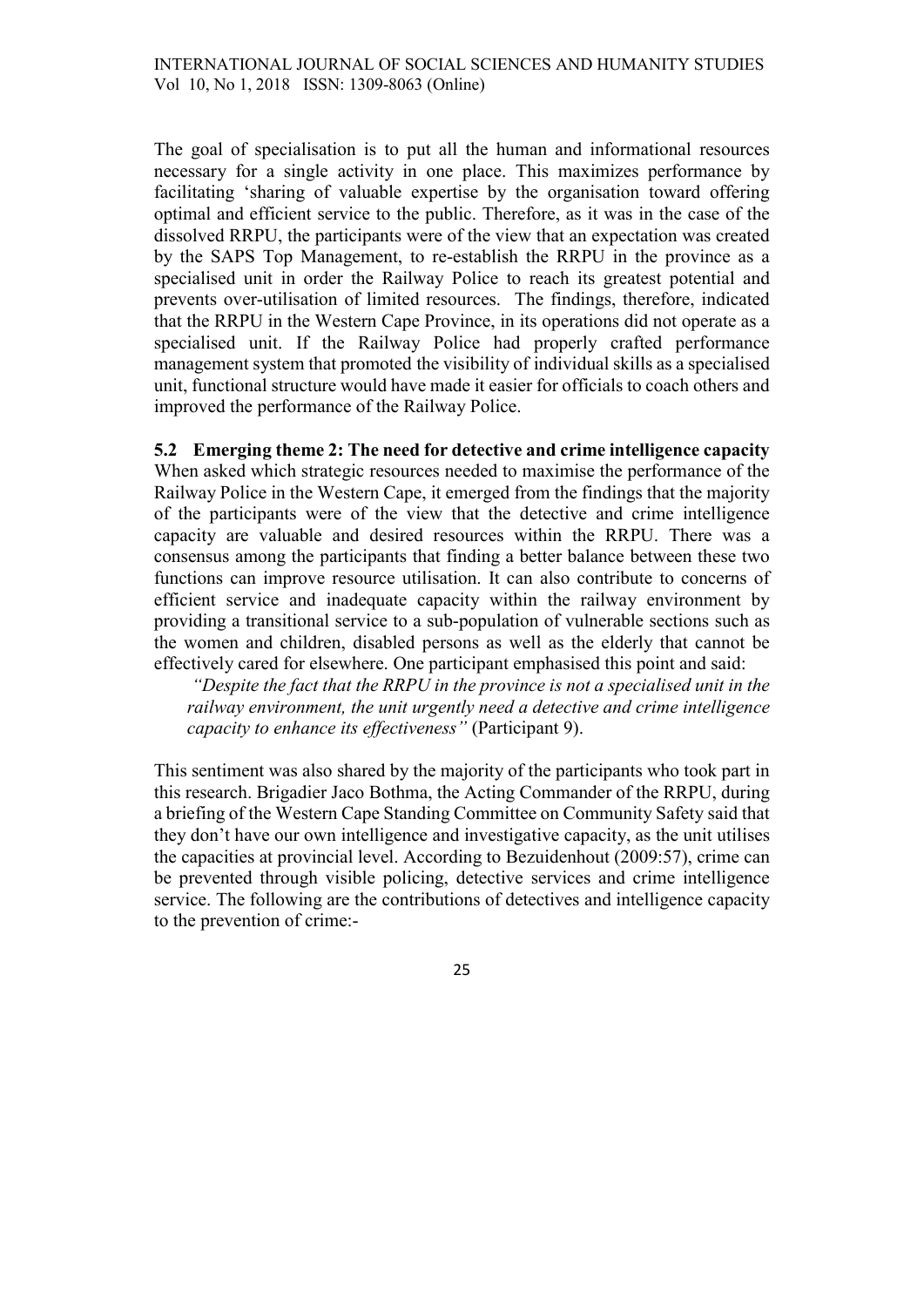The goal of specialisation is to put all the human and informational resources necessary for a single activity in one place. This maximizes performance by facilitating 'sharing of valuable expertise by the organisation toward offering optimal and efficient service to the public. Therefore, as it was in the case of the dissolved RRPU, the participants were of the view that an expectation was created by the SAPS Top Management, to re-establish the RRPU in the province as a specialised unit in order the Railway Police to reach its greatest potential and prevents over-utilisation of limited resources. The findings, therefore, indicated that the RRPU in the Western Cape Province, in its operations did not operate as a specialised unit. If the Railway Police had properly crafted performance management system that promoted the visibility of individual skills as a specialised unit, functional structure would have made it easier for officials to coach others and improved the performance of the Railway Police.

# 5.2 Emerging theme 2: The need for detective and crime intelligence capacity

When asked which strategic resources needed to maximise the performance of the Railway Police in the Western Cape, it emerged from the findings that the majority of the participants were of the view that the detective and crime intelligence capacity are valuable and desired resources within the RRPU. There was a consensus among the participants that finding a better balance between these two functions can improve resource utilisation. It can also contribute to concerns of efficient service and inadequate capacity within the railway environment by providing a transitional service to a sub-population of vulnerable sections such as the women and children, disabled persons as well as the elderly that cannot be effectively cared for elsewhere. One participant emphasised this point and said:

"Despite the fact that the RRPU in the province is not a specialised unit in the railway environment, the unit urgently need a detective and crime intelligence capacity to enhance its effectiveness" (Participant 9).

This sentiment was also shared by the majority of the participants who took part in this research. Brigadier Jaco Bothma, the Acting Commander of the RRPU, during a briefing of the Western Cape Standing Committee on Community Safety said that they don't have our own intelligence and investigative capacity, as the unit utilises the capacities at provincial level. According to Bezuidenhout (2009:57), crime can be prevented through visible policing, detective services and crime intelligence service. The following are the contributions of detectives and intelligence capacity to the prevention of crime:-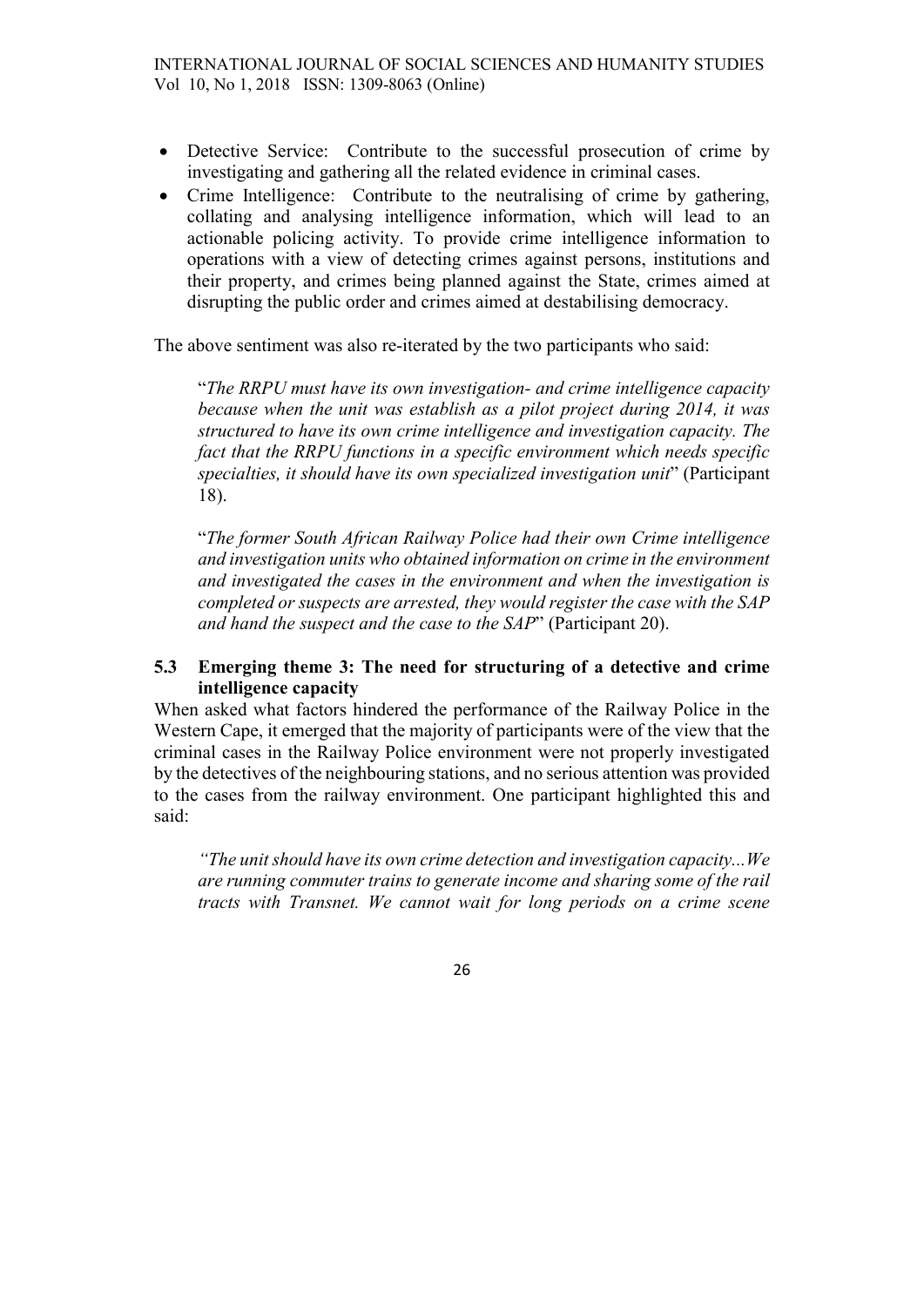- Detective Service: Contribute to the successful prosecution of crime by investigating and gathering all the related evidence in criminal cases.
- Crime Intelligence: Contribute to the neutralising of crime by gathering, collating and analysing intelligence information, which will lead to an actionable policing activity. To provide crime intelligence information to operations with a view of detecting crimes against persons, institutions and their property, and crimes being planned against the State, crimes aimed at disrupting the public order and crimes aimed at destabilising democracy.

The above sentiment was also re-iterated by the two participants who said:

"The RRPU must have its own investigation- and crime intelligence capacity because when the unit was establish as a pilot project during 2014, it was structured to have its own crime intelligence and investigation capacity. The fact that the RRPU functions in a specific environment which needs specific specialties, it should have its own specialized investigation unit" (Participant 18).

"The former South African Railway Police had their own Crime intelligence and investigation units who obtained information on crime in the environment and investigated the cases in the environment and when the investigation is completed or suspects are arrested, they would register the case with the SAP and hand the suspect and the case to the SAP" (Participant 20).

## 5.3 Emerging theme 3: The need for structuring of a detective and crime intelligence capacity

When asked what factors hindered the performance of the Railway Police in the Western Cape, it emerged that the majority of participants were of the view that the criminal cases in the Railway Police environment were not properly investigated by the detectives of the neighbouring stations, and no serious attention was provided to the cases from the railway environment. One participant highlighted this and said:

"The unit should have its own crime detection and investigation capacity...We are running commuter trains to generate income and sharing some of the rail tracts with Transnet. We cannot wait for long periods on a crime scene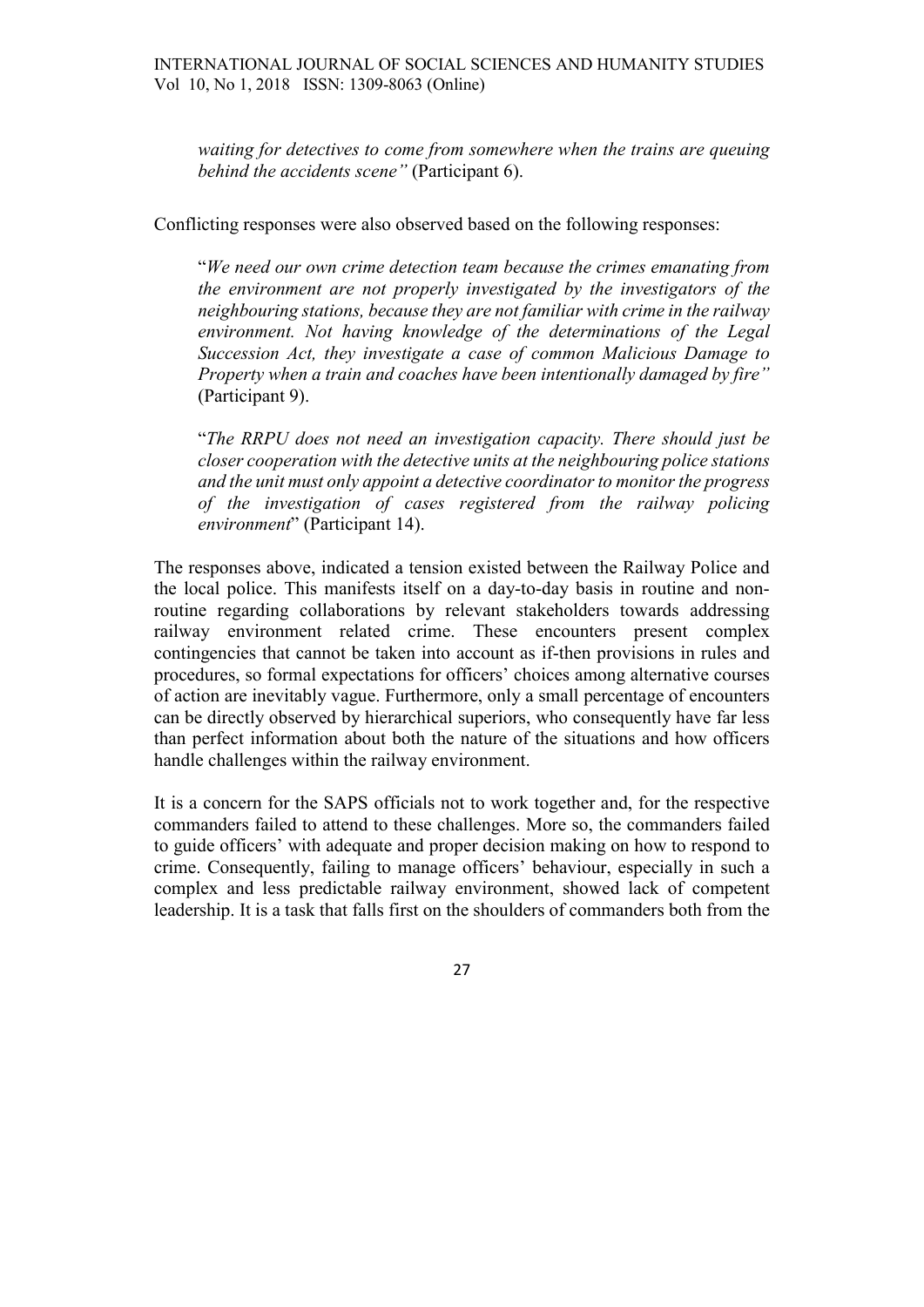waiting for detectives to come from somewhere when the trains are queuing behind the accidents scene" (Participant 6).

Conflicting responses were also observed based on the following responses:

"We need our own crime detection team because the crimes emanating from the environment are not properly investigated by the investigators of the neighbouring stations, because they are not familiar with crime in the railway environment. Not having knowledge of the determinations of the Legal Succession Act, they investigate a case of common Malicious Damage to Property when a train and coaches have been intentionally damaged by fire" (Participant 9).

"The RRPU does not need an investigation capacity. There should just be closer cooperation with the detective units at the neighbouring police stations and the unit must only appoint a detective coordinator to monitor the progress of the investigation of cases registered from the railway policing environment" (Participant 14).

The responses above, indicated a tension existed between the Railway Police and the local police. This manifests itself on a day-to-day basis in routine and nonroutine regarding collaborations by relevant stakeholders towards addressing railway environment related crime. These encounters present complex contingencies that cannot be taken into account as if-then provisions in rules and procedures, so formal expectations for officers' choices among alternative courses of action are inevitably vague. Furthermore, only a small percentage of encounters can be directly observed by hierarchical superiors, who consequently have far less than perfect information about both the nature of the situations and how officers handle challenges within the railway environment.

It is a concern for the SAPS officials not to work together and, for the respective commanders failed to attend to these challenges. More so, the commanders failed to guide officers' with adequate and proper decision making on how to respond to crime. Consequently, failing to manage officers' behaviour, especially in such a complex and less predictable railway environment, showed lack of competent leadership. It is a task that falls first on the shoulders of commanders both from the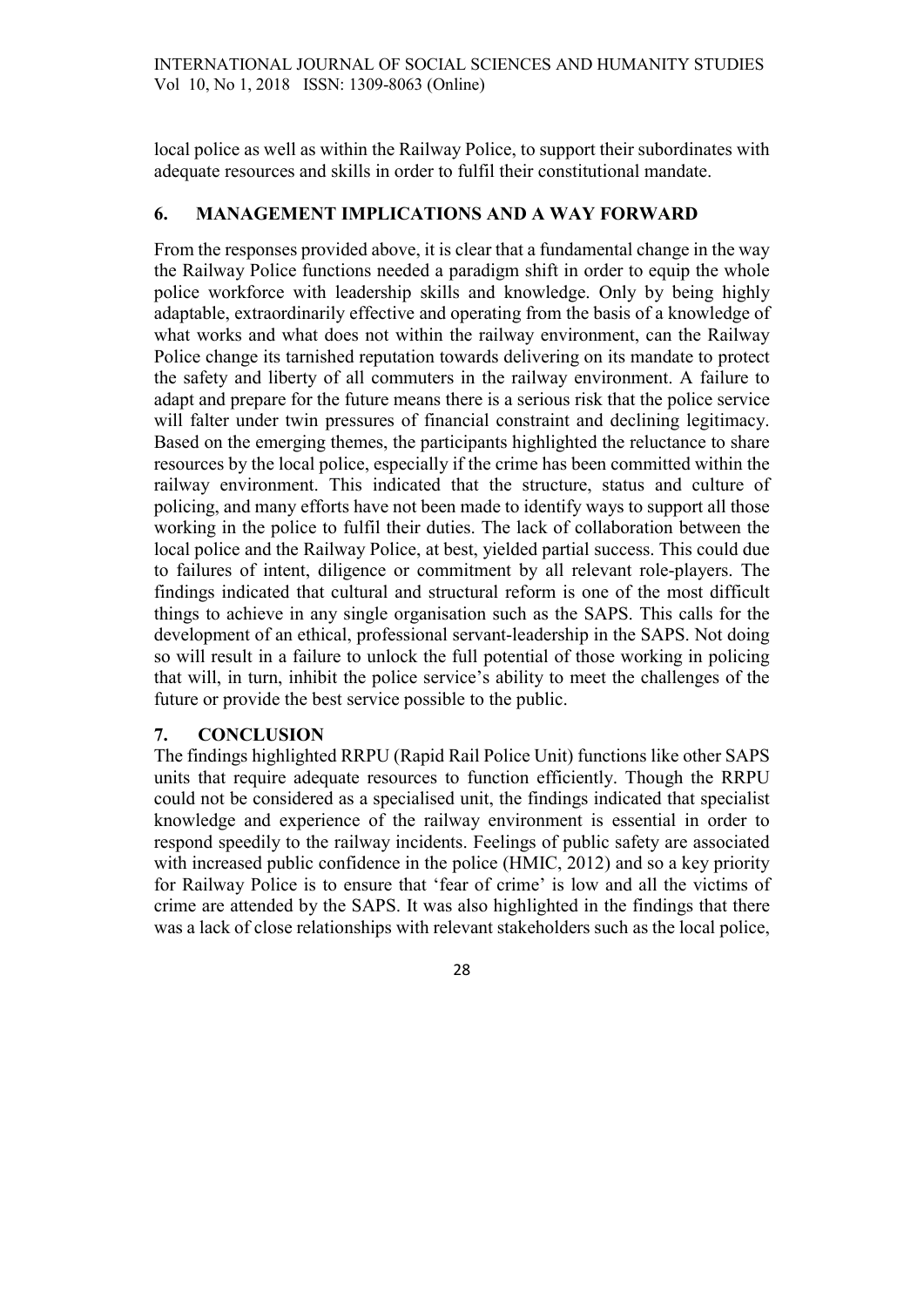local police as well as within the Railway Police, to support their subordinates with adequate resources and skills in order to fulfil their constitutional mandate.

#### 6. MANAGEMENT IMPLICATIONS AND A WAY FORWARD

From the responses provided above, it is clear that a fundamental change in the way the Railway Police functions needed a paradigm shift in order to equip the whole police workforce with leadership skills and knowledge. Only by being highly adaptable, extraordinarily effective and operating from the basis of a knowledge of what works and what does not within the railway environment, can the Railway Police change its tarnished reputation towards delivering on its mandate to protect the safety and liberty of all commuters in the railway environment. A failure to adapt and prepare for the future means there is a serious risk that the police service will falter under twin pressures of financial constraint and declining legitimacy. Based on the emerging themes, the participants highlighted the reluctance to share resources by the local police, especially if the crime has been committed within the railway environment. This indicated that the structure, status and culture of policing, and many efforts have not been made to identify ways to support all those working in the police to fulfil their duties. The lack of collaboration between the local police and the Railway Police, at best, yielded partial success. This could due to failures of intent, diligence or commitment by all relevant role-players. The findings indicated that cultural and structural reform is one of the most difficult things to achieve in any single organisation such as the SAPS. This calls for the development of an ethical, professional servant-leadership in the SAPS. Not doing so will result in a failure to unlock the full potential of those working in policing that will, in turn, inhibit the police service's ability to meet the challenges of the future or provide the best service possible to the public.

#### 7. CONCLUSION

The findings highlighted RRPU (Rapid Rail Police Unit) functions like other SAPS units that require adequate resources to function efficiently. Though the RRPU could not be considered as a specialised unit, the findings indicated that specialist knowledge and experience of the railway environment is essential in order to respond speedily to the railway incidents. Feelings of public safety are associated with increased public confidence in the police (HMIC, 2012) and so a key priority for Railway Police is to ensure that 'fear of crime' is low and all the victims of crime are attended by the SAPS. It was also highlighted in the findings that there was a lack of close relationships with relevant stakeholders such as the local police,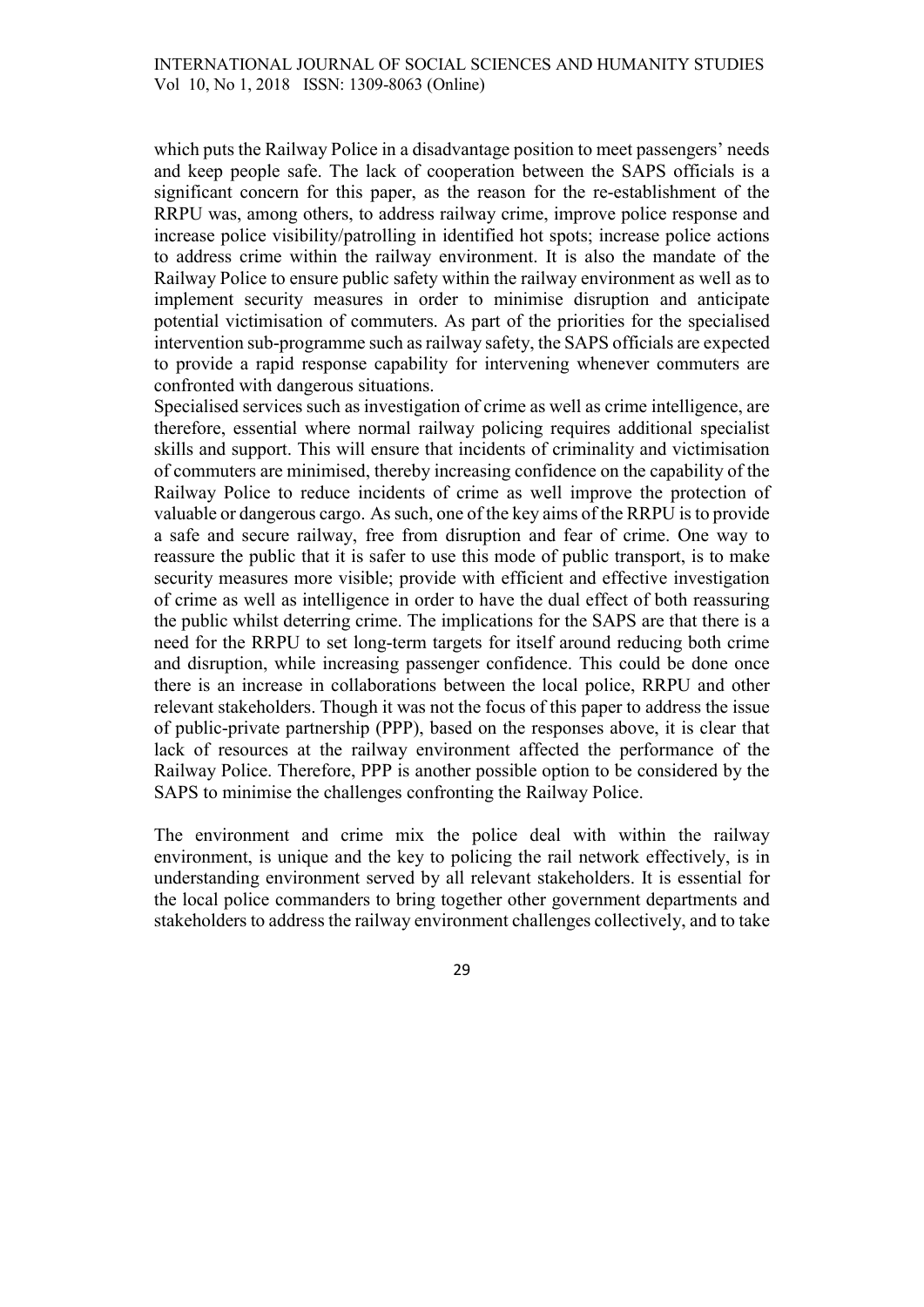which puts the Railway Police in a disadvantage position to meet passengers' needs and keep people safe. The lack of cooperation between the SAPS officials is a significant concern for this paper, as the reason for the re-establishment of the RRPU was, among others, to address railway crime, improve police response and increase police visibility/patrolling in identified hot spots; increase police actions to address crime within the railway environment. It is also the mandate of the Railway Police to ensure public safety within the railway environment as well as to implement security measures in order to minimise disruption and anticipate potential victimisation of commuters. As part of the priorities for the specialised intervention sub-programme such as railway safety, the SAPS officials are expected to provide a rapid response capability for intervening whenever commuters are confronted with dangerous situations.

Specialised services such as investigation of crime as well as crime intelligence, are therefore, essential where normal railway policing requires additional specialist skills and support. This will ensure that incidents of criminality and victimisation of commuters are minimised, thereby increasing confidence on the capability of the Railway Police to reduce incidents of crime as well improve the protection of valuable or dangerous cargo. As such, one of the key aims of the RRPU is to provide a safe and secure railway, free from disruption and fear of crime. One way to reassure the public that it is safer to use this mode of public transport, is to make security measures more visible; provide with efficient and effective investigation of crime as well as intelligence in order to have the dual effect of both reassuring the public whilst deterring crime. The implications for the SAPS are that there is a need for the RRPU to set long-term targets for itself around reducing both crime and disruption, while increasing passenger confidence. This could be done once there is an increase in collaborations between the local police, RRPU and other relevant stakeholders. Though it was not the focus of this paper to address the issue of public-private partnership (PPP), based on the responses above, it is clear that lack of resources at the railway environment affected the performance of the Railway Police. Therefore, PPP is another possible option to be considered by the SAPS to minimise the challenges confronting the Railway Police.

The environment and crime mix the police deal with within the railway environment, is unique and the key to policing the rail network effectively, is in understanding environment served by all relevant stakeholders. It is essential for the local police commanders to bring together other government departments and stakeholders to address the railway environment challenges collectively, and to take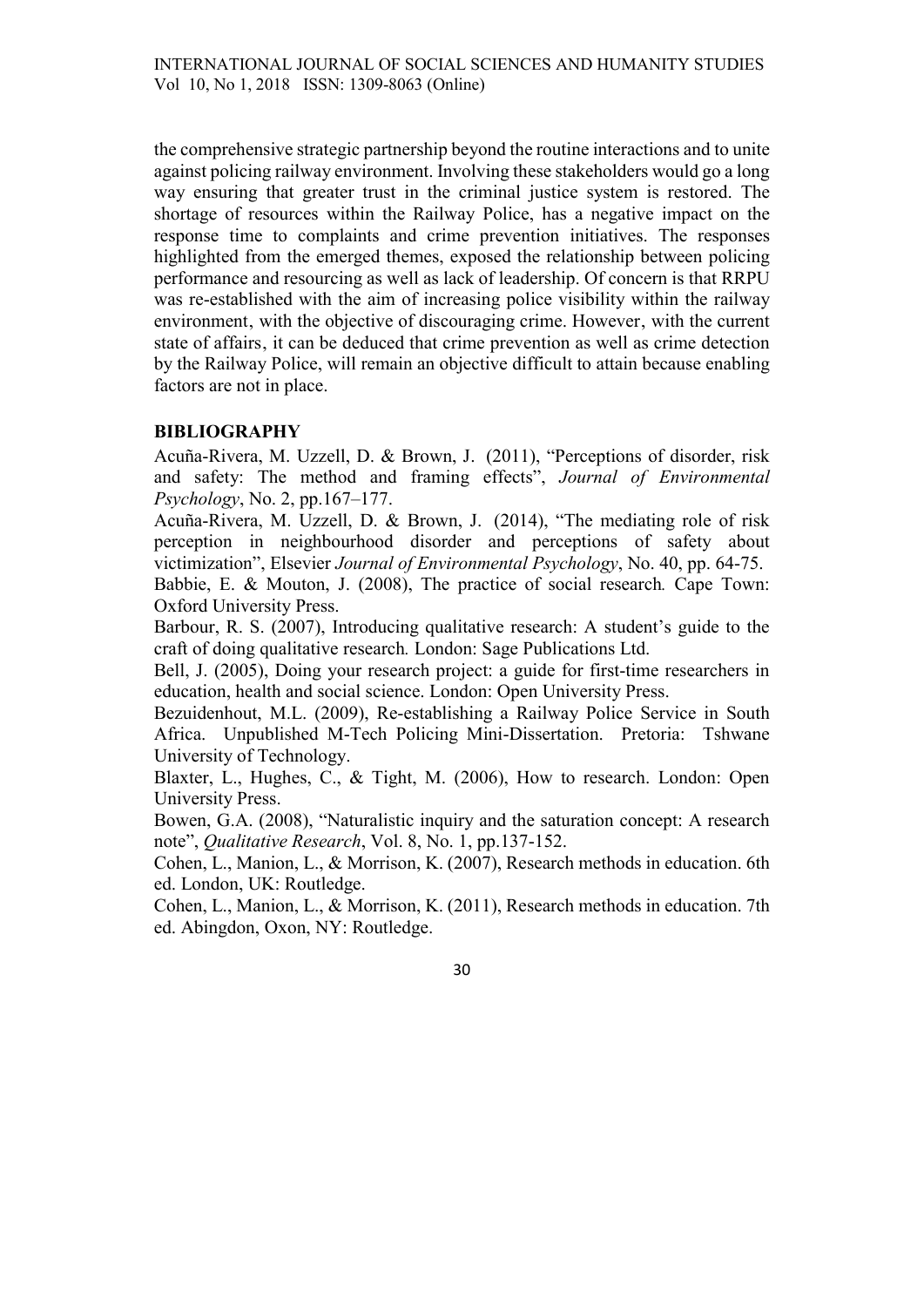the comprehensive strategic partnership beyond the routine interactions and to unite against policing railway environment. Involving these stakeholders would go a long way ensuring that greater trust in the criminal justice system is restored. The shortage of resources within the Railway Police, has a negative impact on the response time to complaints and crime prevention initiatives. The responses highlighted from the emerged themes, exposed the relationship between policing performance and resourcing as well as lack of leadership. Of concern is that RRPU was re-established with the aim of increasing police visibility within the railway environment, with the objective of discouraging crime. However, with the current state of affairs, it can be deduced that crime prevention as well as crime detection by the Railway Police, will remain an objective difficult to attain because enabling factors are not in place.

# BIBLIOGRAPHY

Acuña-Rivera, M. Uzzell, D. & Brown, J. (2011), "Perceptions of disorder, risk and safety: The method and framing effects", Journal of Environmental Psychology, No. 2, pp.167–177.

Acuña-Rivera, M. Uzzell, D. & Brown, J. (2014), "The mediating role of risk perception in neighbourhood disorder and perceptions of safety about victimization", Elsevier Journal of Environmental Psychology, No. 40, pp. 64-75. Babbie, E. & Mouton, J. (2008), The practice of social research. Cape Town:

Oxford University Press.

Barbour, R. S. (2007), Introducing qualitative research: A student's guide to the craft of doing qualitative research. London: Sage Publications Ltd.

Bell, J. (2005), Doing your research project: a guide for first-time researchers in education, health and social science. London: Open University Press.

Bezuidenhout, M.L. (2009), Re-establishing a Railway Police Service in South Africa. Unpublished M-Tech Policing Mini-Dissertation. Pretoria: Tshwane University of Technology.

Blaxter, L., Hughes, C., & Tight, M. (2006), How to research. London: Open University Press.

Bowen, G.A. (2008), "Naturalistic inquiry and the saturation concept: A research note", Qualitative Research, Vol. 8, No. 1, pp.137-152.

Cohen, L., Manion, L., & Morrison, K. (2007), Research methods in education. 6th ed. London, UK: Routledge.

Cohen, L., Manion, L., & Morrison, K. (2011), Research methods in education. 7th ed. Abingdon, Oxon, NY: Routledge.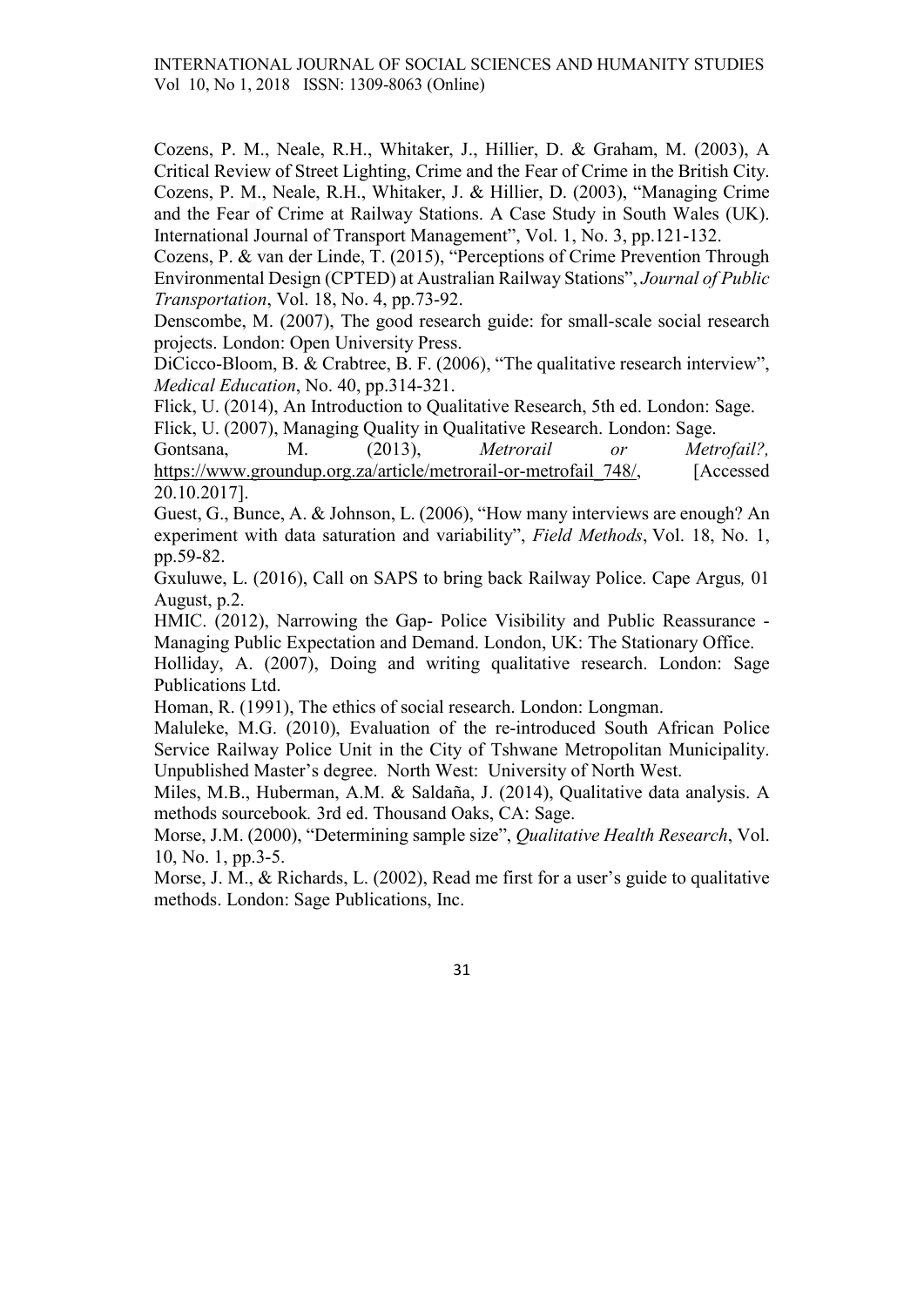Cozens, P. M., Neale, R.H., Whitaker, J., Hillier, D. & Graham, M. (2003), A Critical Review of Street Lighting, Crime and the Fear of Crime in the British City. Cozens, P. M., Neale, R.H., Whitaker, J. & Hillier, D. (2003), "Managing Crime and the Fear of Crime at Railway Stations. A Case Study in South Wales (UK). International Journal of Transport Management", Vol. 1, No. 3, pp.121-132.

Cozens, P. & van der Linde, T. (2015), "Perceptions of Crime Prevention Through Environmental Design (CPTED) at Australian Railway Stations", Journal of Public Transportation, Vol. 18, No. 4, pp.73-92.

Denscombe, M. (2007), The good research guide: for small-scale social research projects. London: Open University Press.

DiCicco-Bloom, B. & Crabtree, B. F. (2006), "The qualitative research interview", Medical Education, No. 40, pp.314-321.

Flick, U. (2014), An Introduction to Qualitative Research, 5th ed. London: Sage. Flick, U. (2007), Managing Quality in Qualitative Research. London: Sage.

Gontsana, M. (2013), *Metrorail or Metrofail?*, https://www.groundup.org.za/article/metrorail-or-metrofail 748/, [Accessed 20.10.2017].

Guest, G., Bunce, A. & Johnson, L. (2006), "How many interviews are enough? An experiment with data saturation and variability", Field Methods, Vol. 18, No. 1, pp.59-82.

Gxuluwe, L. (2016), Call on SAPS to bring back Railway Police. Cape Argus, 01 August, p.2.

HMIC. (2012), Narrowing the Gap- Police Visibility and Public Reassurance - Managing Public Expectation and Demand. London, UK: The Stationary Office.

Holliday, A. (2007), Doing and writing qualitative research. London: Sage Publications Ltd.

Homan, R. (1991), The ethics of social research. London: Longman.

Maluleke, M.G. (2010), Evaluation of the re-introduced South African Police Service Railway Police Unit in the City of Tshwane Metropolitan Municipality. Unpublished Master's degree. North West: University of North West.

Miles, M.B., Huberman, A.M. & Saldaña, J. (2014), Qualitative data analysis. A methods sourcebook. 3rd ed. Thousand Oaks, CA: Sage.

Morse, J.M. (2000), "Determining sample size", Qualitative Health Research, Vol. 10, No. 1, pp.3-5.

Morse, J. M., & Richards, L. (2002), Read me first for a user's guide to qualitative methods. London: Sage Publications, Inc.